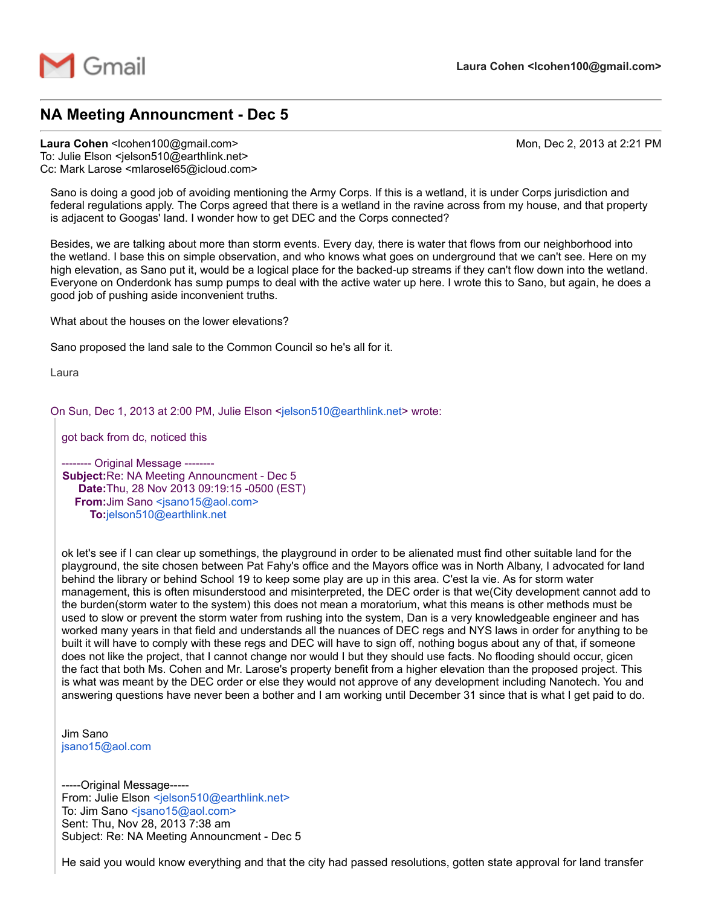

## NA Meeting Announcment - Dec 5

Laura Cohen <lcohen100@gmail.com> Mon, Dec 2, 2013 at 2:21 PM

To: Julie Elson <jelson510@earthlink.net> Cc: Mark Larose <mlarosel65@icloud.com>

Sano is doing a good job of avoiding mentioning the Army Corps. If this is a wetland, it is under Corps jurisdiction and federal regulations apply. The Corps agreed that there is a wetland in the ravine across from my house, and that property is adjacent to Googas' land. I wonder how to get DEC and the Corps connected?

Besides, we are talking about more than storm events. Every day, there is water that flows from our neighborhood into the wetland. I base this on simple observation, and who knows what goes on underground that we can't see. Here on my high elevation, as Sano put it, would be a logical place for the backed-up streams if they can't flow down into the wetland. Everyone on Onderdonk has sump pumps to deal with the active water up here. I wrote this to Sano, but again, he does a good job of pushing aside inconvenient truths.

What about the houses on the lower elevations?

Sano proposed the land sale to the Common Council so he's all for it.

Laura

On Sun, Dec 1, 2013 at 2:00 PM, Julie Elson [<jelson510@earthlink.net](mailto:jelson510@earthlink.net)> wrote:

got back from dc, noticed this

------- Original Message --------Subject:Re: NA Meeting Announcment - Dec 5 Date: Thu, 28 Nov 2013 09:19:15 - 0500 (EST) From: Jim Sano [<jsano15@aol.com>](mailto:jsano15@aol.com) To:[jelson510@earthlink.net](mailto:jelson510@earthlink.net)

ok let's see if I can clear up somethings, the playground in order to be alienated must find other suitable land for the playground, the site chosen between Pat Fahy's office and the Mayors office was in North Albany, I advocated for land behind the library or behind School 19 to keep some play are up in this area. C'est la vie. As for storm water management, this is often misunderstood and misinterpreted, the DEC order is that we(City development cannot add to the burden(storm water to the system) this does not mean a moratorium, what this means is other methods must be used to slow or prevent the storm water from rushing into the system, Dan is a very knowledgeable engineer and has worked many years in that field and understands all the nuances of DEC regs and NYS laws in order for anything to be built it will have to comply with these regs and DEC will have to sign off, nothing bogus about any of that, if someone does not like the project, that I cannot change nor would I but they should use facts. No flooding should occur, gicen the fact that both Ms. Cohen and Mr. Larose's property benefit from a higher elevation than the proposed project. This is what was meant by the DEC order or else they would not approve of any development including Nanotech. You and answering questions have never been a bother and I am working until December 31 since that is what I get paid to do.

Jim Sano [jsano15@aol.com](mailto:jsano15@aol.com)

-----Original Message-----From: Julie Elson [<jelson510@earthlink.net>](mailto:jelson510@earthlink.net) To: Jim Sano [<jsano15@aol.com>](mailto:jsano15@aol.com) Sent: Thu, Nov 28, 2013 7:38 am Subject: Re: NA Meeting Announcment - Dec 5

He said you would know everything and that the city had passed resolutions, gotten state approval for land transfer